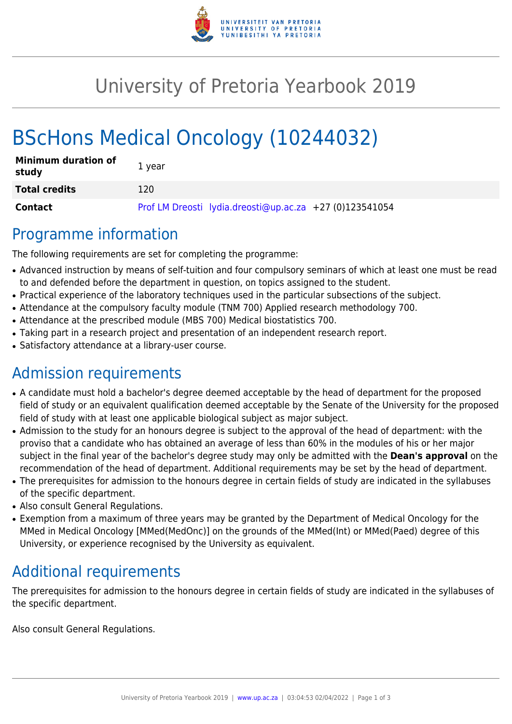

## University of Pretoria Yearbook 2019

# BScHons Medical Oncology (10244032)

| <b>Minimum duration of</b><br>study | 1 year                                                  |
|-------------------------------------|---------------------------------------------------------|
| <b>Total credits</b>                | 120                                                     |
| Contact                             | Prof LM Dreosti lydia.dreosti@up.ac.za +27 (0)123541054 |

### Programme information

The following requirements are set for completing the programme:

- Advanced instruction by means of self-tuition and four compulsory seminars of which at least one must be read to and defended before the department in question, on topics assigned to the student.
- Practical experience of the laboratory techniques used in the particular subsections of the subject.
- Attendance at the compulsory faculty module (TNM 700) Applied research methodology 700.
- Attendance at the prescribed module (MBS 700) Medical biostatistics 700.
- Taking part in a research project and presentation of an independent research report.
- Satisfactory attendance at a library-user course.

### Admission requirements

- A candidate must hold a bachelor's degree deemed acceptable by the head of department for the proposed field of study or an equivalent qualification deemed acceptable by the Senate of the University for the proposed field of study with at least one applicable biological subject as major subject.
- Admission to the study for an honours degree is subject to the approval of the head of department: with the proviso that a candidate who has obtained an average of less than 60% in the modules of his or her major subject in the final year of the bachelor's degree study may only be admitted with the **Dean's approval** on the recommendation of the head of department. Additional requirements may be set by the head of department.
- The prerequisites for admission to the honours degree in certain fields of study are indicated in the syllabuses of the specific department.
- Also consult General Regulations.
- Exemption from a maximum of three years may be granted by the Department of Medical Oncology for the MMed in Medical Oncology [MMed(MedOnc)] on the grounds of the MMed(Int) or MMed(Paed) degree of this University, or experience recognised by the University as equivalent.

### Additional requirements

The prerequisites for admission to the honours degree in certain fields of study are indicated in the syllabuses of the specific department.

Also consult General Regulations.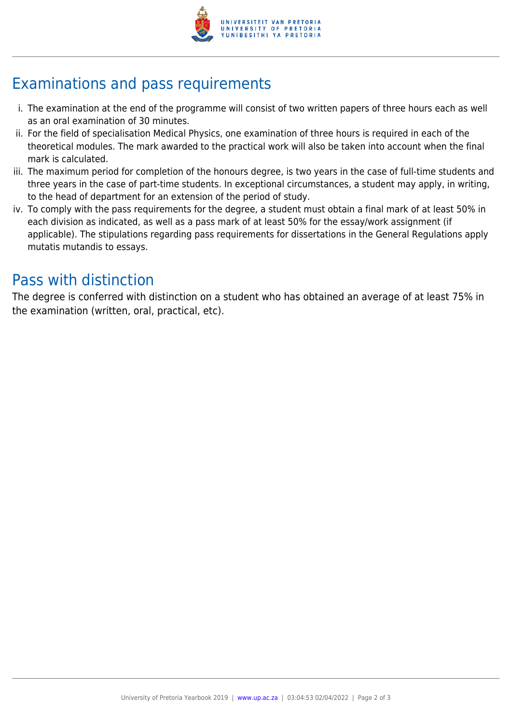

## Examinations and pass requirements

- i. The examination at the end of the programme will consist of two written papers of three hours each as well as an oral examination of 30 minutes.
- ii. For the field of specialisation Medical Physics, one examination of three hours is required in each of the theoretical modules. The mark awarded to the practical work will also be taken into account when the final mark is calculated.
- iii. The maximum period for completion of the honours degree, is two years in the case of full-time students and three years in the case of part-time students. In exceptional circumstances, a student may apply, in writing, to the head of department for an extension of the period of study.
- iv. To comply with the pass requirements for the degree, a student must obtain a final mark of at least 50% in each division as indicated, as well as a pass mark of at least 50% for the essay/work assignment (if applicable). The stipulations regarding pass requirements for dissertations in the General Regulations apply mutatis mutandis to essays.

### Pass with distinction

The degree is conferred with distinction on a student who has obtained an average of at least 75% in the examination (written, oral, practical, etc).